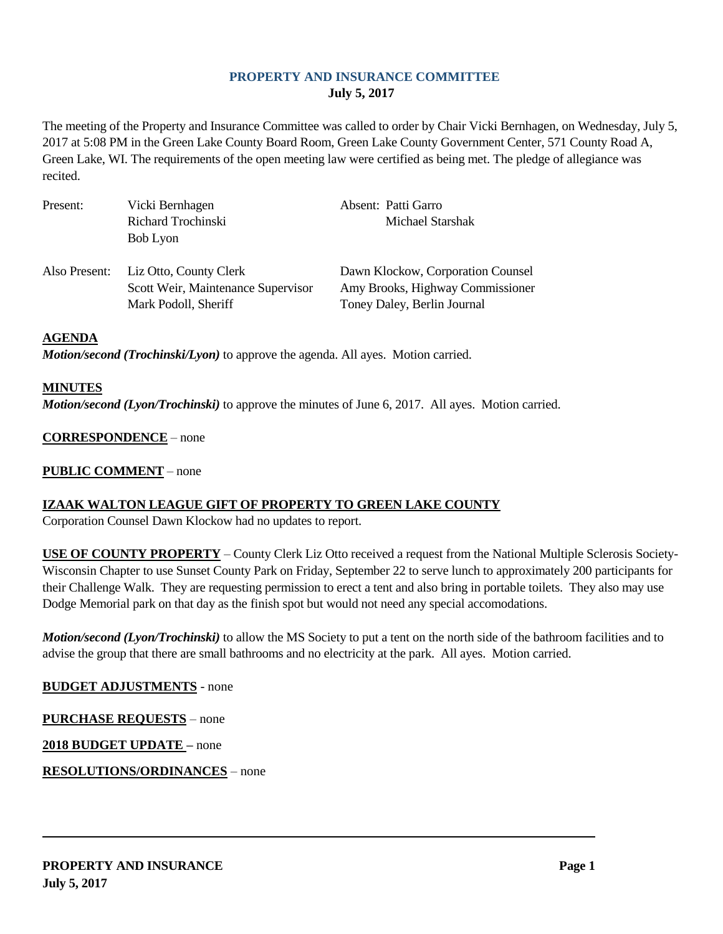# **PROPERTY AND INSURANCE COMMITTEE July 5, 2017**

The meeting of the Property and Insurance Committee was called to order by Chair Vicki Bernhagen, on Wednesday, July 5, 2017 at 5:08 PM in the Green Lake County Board Room, Green Lake County Government Center, 571 County Road A, Green Lake, WI. The requirements of the open meeting law were certified as being met. The pledge of allegiance was recited.

| Present:      | Vicki Bernhagen                                                                      | Absent: Patti Garro                                                                                  |
|---------------|--------------------------------------------------------------------------------------|------------------------------------------------------------------------------------------------------|
|               | Richard Trochinski                                                                   | Michael Starshak                                                                                     |
|               | Bob Lyon                                                                             |                                                                                                      |
| Also Present: | Liz Otto, County Clerk<br>Scott Weir, Maintenance Supervisor<br>Mark Podoll, Sheriff | Dawn Klockow, Corporation Counsel<br>Amy Brooks, Highway Commissioner<br>Toney Daley, Berlin Journal |

#### **AGENDA**

*Motion/second (Trochinski/Lyon)* to approve the agenda. All ayes. Motion carried.

#### **MINUTES**

*Motion/second (Lyon/Trochinski)* to approve the minutes of June 6, 2017. All ayes. Motion carried.

### **CORRESPONDENCE** – none

### **PUBLIC COMMENT** – none

# **IZAAK WALTON LEAGUE GIFT OF PROPERTY TO GREEN LAKE COUNTY**

Corporation Counsel Dawn Klockow had no updates to report.

**USE OF COUNTY PROPERTY** – County Clerk Liz Otto received a request from the National Multiple Sclerosis Society-Wisconsin Chapter to use Sunset County Park on Friday, September 22 to serve lunch to approximately 200 participants for their Challenge Walk. They are requesting permission to erect a tent and also bring in portable toilets. They also may use Dodge Memorial park on that day as the finish spot but would not need any special accomodations.

*Motion/second (Lyon/Trochinski)* to allow the MS Society to put a tent on the north side of the bathroom facilities and to advise the group that there are small bathrooms and no electricity at the park. All ayes. Motion carried.

# **BUDGET ADJUSTMENTS** - none

**PURCHASE REQUESTS** – none

**2018 BUDGET UPDATE –** none

**RESOLUTIONS/ORDINANCES** – none